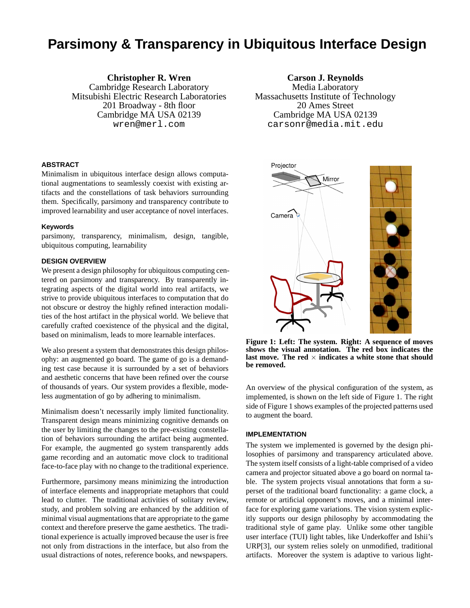# **Parsimony & Transparency in Ubiquitous Interface Design**

**Christopher R. Wren** Cambridge Research Laboratory Mitsubishi Electric Research Laboratories 201 Broadway - 8th floor Cambridge MA USA 02139 wren@merl.com

# **ABSTRACT**

Minimalism in ubiquitous interface design allows computational augmentations to seamlessly coexist with existing artifacts and the constellations of task behaviors surrounding them. Specifically, parsimony and transparency contribute to improved learnability and user acceptance of novel interfaces.

## **Keywords**

parsimony, transparency, minimalism, design, tangible, ubiquitous computing, learnability

## **DESIGN OVERVIEW**

We present a design philosophy for ubiquitous computing centered on parsimony and transparency. By transparently integrating aspects of the digital world into real artifacts, we strive to provide ubiquitous interfaces to computation that do not obscure or destroy the highly refined interaction modalities of the host artifact in the physical world. We believe that carefully crafted coexistence of the physical and the digital, based on minimalism, leads to more learnable interfaces.

We also present a system that demonstrates this design philosophy: an augmented go board. The game of go is a demanding test case because it is surrounded by a set of behaviors and aesthetic concerns that have been refined over the course of thousands of years. Our system provides a flexible, modeless augmentation of go by adhering to minimalism.

Minimalism doesn't necessarily imply limited functionality. Transparent design means minimizing cognitive demands on the user by limiting the changes to the pre-existing constellation of behaviors surrounding the artifact being augmented. For example, the augmented go system transparently adds game recording and an automatic move clock to traditional face-to-face play with no change to the traditional experience.

Furthermore, parsimony means minimizing the introduction of interface elements and inappropriate metaphors that could lead to clutter. The traditional activities of solitary review, study, and problem solving are enhanced by the addition of minimal visual augmentations that are appropriate to the game context and therefore preserve the game aesthetics. The traditional experience is actually improved because the user is free not only from distractions in the interface, but also from the usual distractions of notes, reference books, and newspapers.

**Carson J. Reynolds** Media Laboratory Massachusetts Institute of Technology 20 Ames Street Cambridge MA USA 02139 carsonr@media.mit.edu



**Figure 1: Left: The system. Right: A sequence of moves shows the visual annotation. The red box indicates the** last move. The red  $\times$  indicates a white stone that should **be removed.**

An overview of the physical configuration of the system, as implemented, is shown on the left side of Figure 1. The right side of Figure 1 shows examples of the projected patterns used to augment the board.

#### **IMPLEMENTATION**

The system we implemented is governed by the design philosophies of parsimony and transparency articulated above. The system itself consists of a light-table comprised of a video camera and projector situated above a go board on normal table. The system projects visual annotations that form a superset of the traditional board functionality: a game clock, a remote or artificial opponent's moves, and a minimal interface for exploring game variations. The vision system explicitly supports our design philosophy by accommodating the traditional style of game play. Unlike some other tangible user interface (TUI) light tables, like Underkoffer and Ishii's URP[3], our system relies solely on unmodified, traditional artifacts. Moreover the system is adaptive to various light